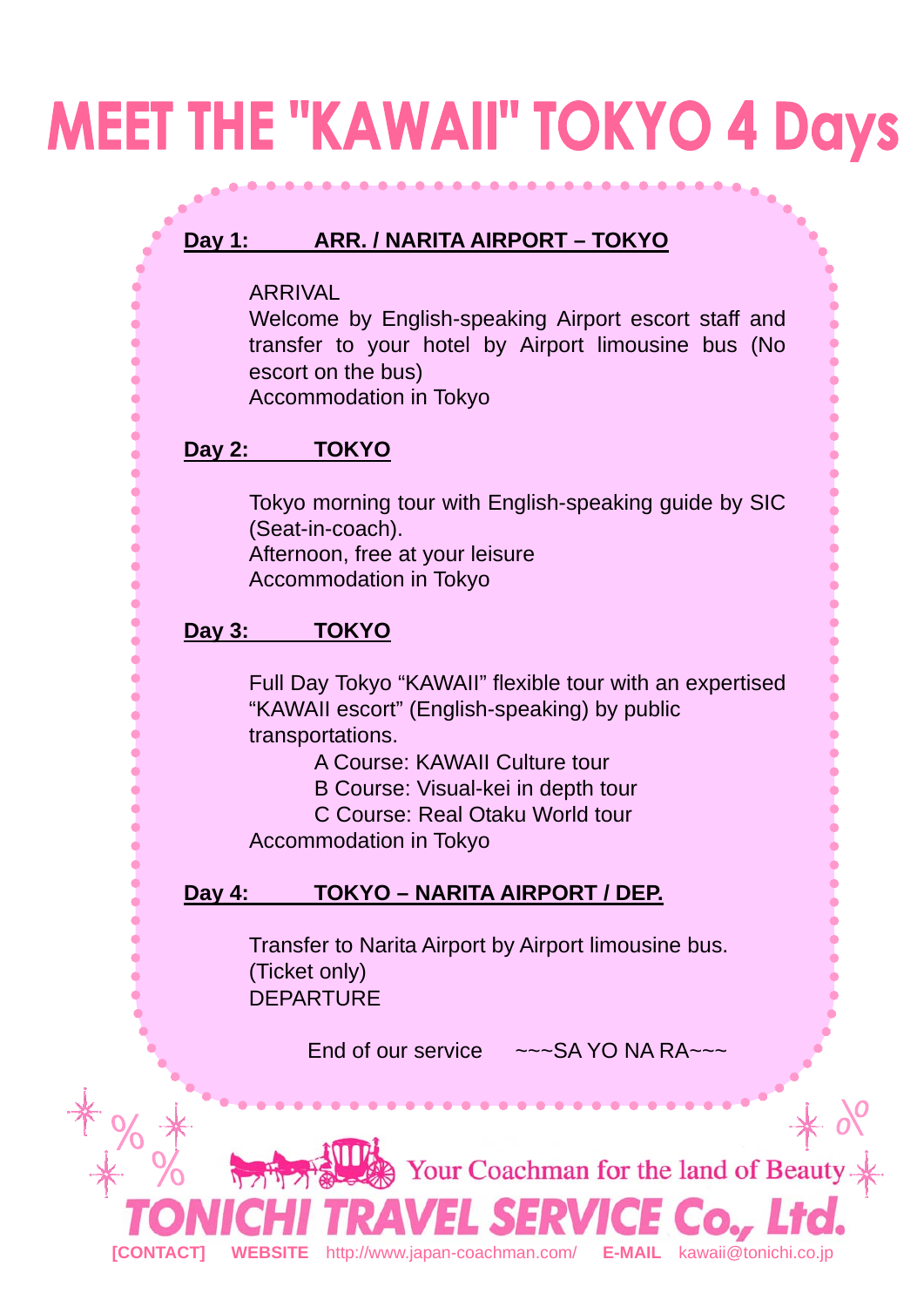## **MEET THE "KAWAII" TOKYO 4 Days**

### **Day 1: ARR. / NARITA AIRPORT – TOKYO**

ARRIVAL

Welcome by English-speaking Airport escort staff and transfer to your hotel by Airport limousine bus (No escort on the bus)

Ò

Ċ

ċ Ċ

é ċ

Accommodation in Tokyo

#### **Day 2: TOKYO**

Tokyo morning tour with English-speaking guide by SIC (Seat-in-coach).

Afternoon, free at your leisure Accommodation in Tokyo

#### **Day 3: TOKYO**

Full Day Tokyo "KAWAII" flexible tour with an expertised "KAWAII escort" (English-speaking) by public transportations.

A Course: KAWAII Culture tour

B Course: Visual-kei in depth tour

C Course: Real Otaku World tour

Accommodation in Tokyo

### **Day 4: TOKYO – NARITA AIRPORT / DEP.**

Transfer to Narita Airport by Airport limousine bus. (Ticket only) **DEPARTURE** 

End of our service  $\sim \sim$ SA YO NA RA $\sim \sim$ 

Your Coachman for the land of Beaut **[CONTACT] WEBSITE** http://www.japan-coachman.com/ **E-MAIL** kawaii@tonichi.co.jp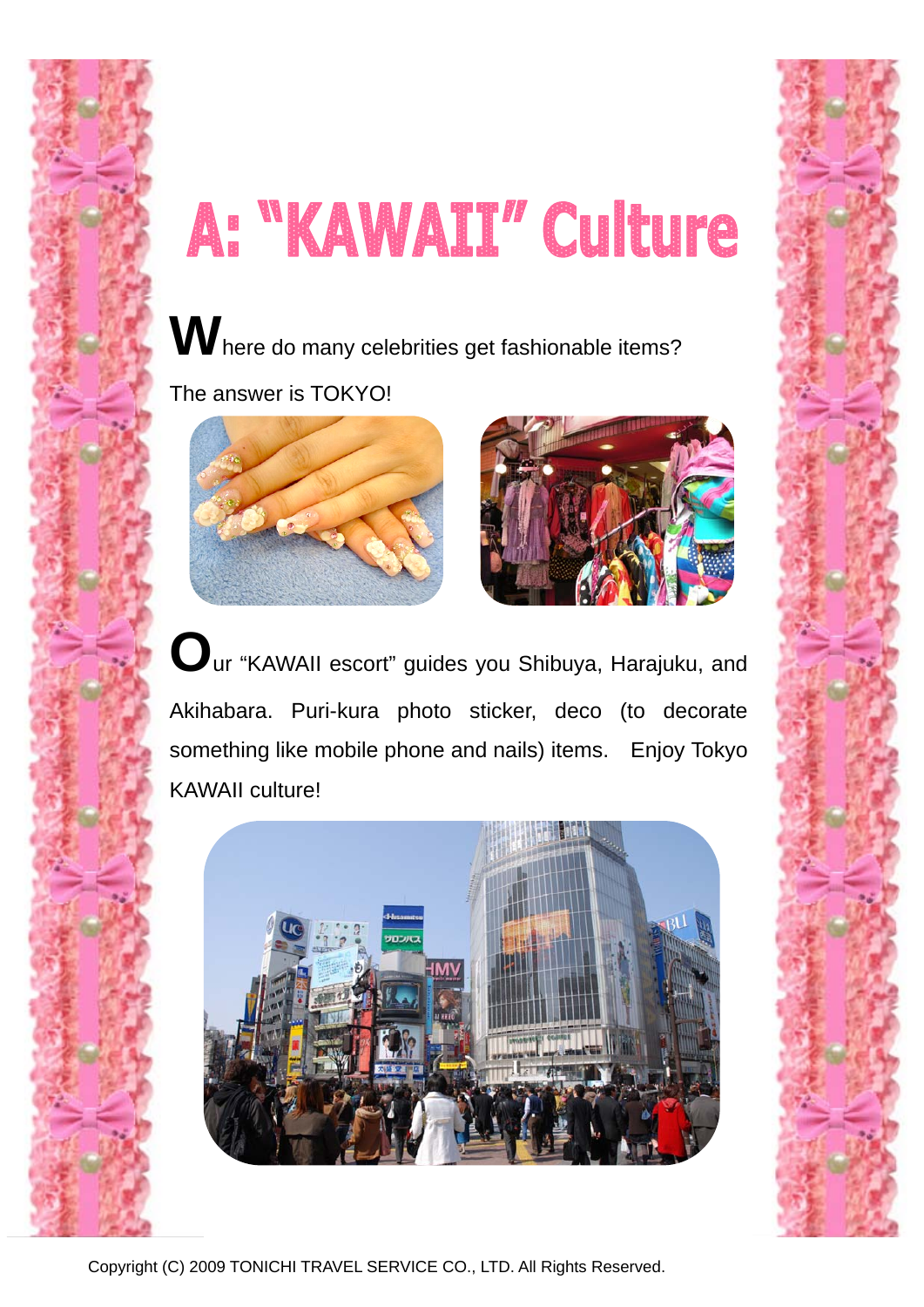# A: "KAWAII" Culture

**W**here do many celebrities get fashionable items?

The answer is TOKYO!





**O**ur "KAWAII escort" guides you Shibuya, Harajuku, and Akihabara. Puri-kura photo sticker, deco (to decorate something like mobile phone and nails) items. Enjoy Tokyo KAWAII culture!





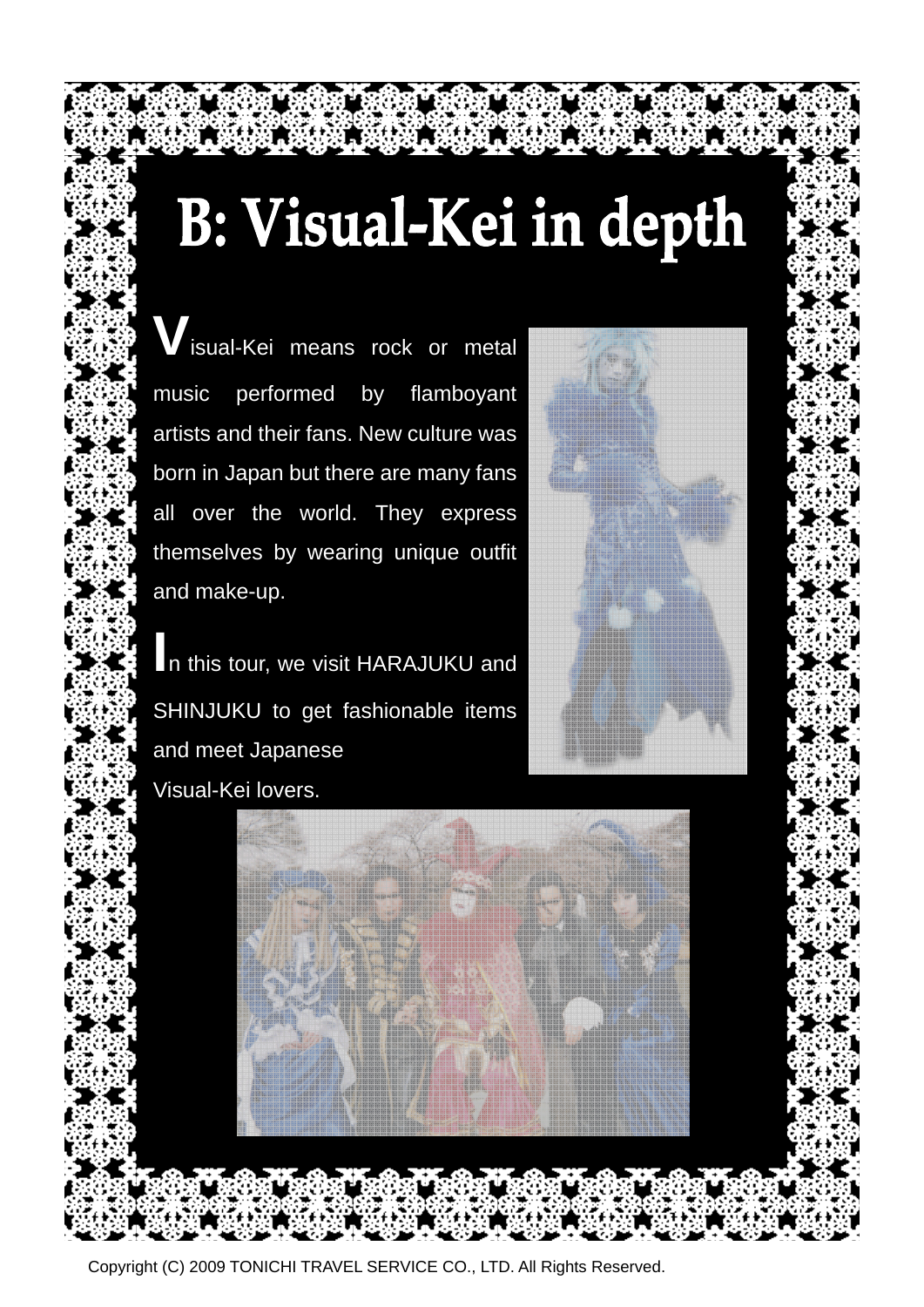# B: Visual-Kei in depth

**isual-Kei means rock or metal** music performed by flamboyant artists and their fans. New culture was born in Japan but there are many fans all over the world. They express themselves by wearing unique outfit and make-up.

**I**n this tour, we visit HARAJUKU and SHINJUKU to get fashionable items and meet Japanese Visual-Kei lovers.





Copyright (C) 2009 TONICHI TRAVEL SERVICE CO., LTD. All Rights Reserved.